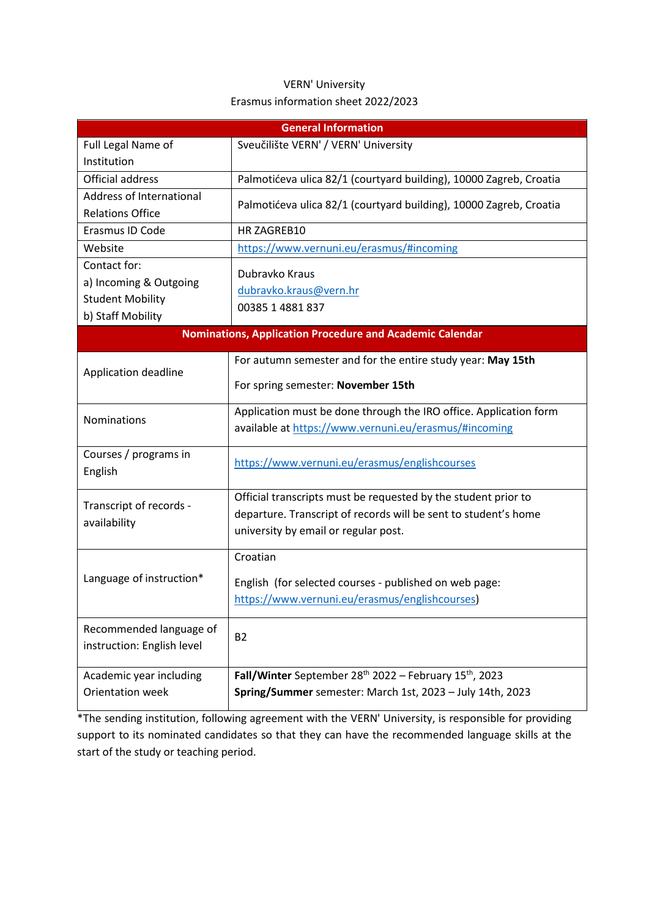# VERN' University Erasmus information sheet 2022/2023

| <b>General Information</b>                                      |                                                                    |  |
|-----------------------------------------------------------------|--------------------------------------------------------------------|--|
| Full Legal Name of                                              | Sveučilište VERN' / VERN' University                               |  |
| Institution                                                     |                                                                    |  |
| Official address                                                | Palmotićeva ulica 82/1 (courtyard building), 10000 Zagreb, Croatia |  |
| Address of International                                        | Palmotićeva ulica 82/1 (courtyard building), 10000 Zagreb, Croatia |  |
| <b>Relations Office</b>                                         |                                                                    |  |
| Erasmus ID Code                                                 | HR ZAGREB10                                                        |  |
| Website                                                         | https://www.vernuni.eu/erasmus/#incoming                           |  |
| Contact for:                                                    | Dubravko Kraus                                                     |  |
| a) Incoming & Outgoing                                          | dubravko.kraus@vern.hr                                             |  |
| <b>Student Mobility</b>                                         | 00385 1 4881 837                                                   |  |
| b) Staff Mobility                                               |                                                                    |  |
| <b>Nominations, Application Procedure and Academic Calendar</b> |                                                                    |  |
| Application deadline                                            | For autumn semester and for the entire study year: May 15th        |  |
|                                                                 | For spring semester: November 15th                                 |  |
| Nominations                                                     | Application must be done through the IRO office. Application form  |  |
|                                                                 | available at https://www.vernuni.eu/erasmus/#incoming              |  |
| Courses / programs in                                           | https://www.vernuni.eu/erasmus/englishcourses                      |  |
| English                                                         |                                                                    |  |
| Transcript of records -<br>availability                         | Official transcripts must be requested by the student prior to     |  |
|                                                                 | departure. Transcript of records will be sent to student's home    |  |
|                                                                 | university by email or regular post.                               |  |
| Language of instruction*                                        | Croatian                                                           |  |
|                                                                 | English (for selected courses - published on web page:             |  |
|                                                                 | https://www.vernuni.eu/erasmus/englishcourses)                     |  |
|                                                                 |                                                                    |  |
| Recommended language of                                         | <b>B2</b>                                                          |  |
| instruction: English level                                      |                                                                    |  |
| Academic year including                                         | Fall/Winter September $28^{th}$ 2022 – February $15^{th}$ , 2023   |  |
| Orientation week                                                | Spring/Summer semester: March 1st, 2023 - July 14th, 2023          |  |
|                                                                 |                                                                    |  |

\*The sending institution, following agreement with the VERN' University, is responsible for providing support to its nominated candidates so that they can have the recommended language skills at the start of the study or teaching period.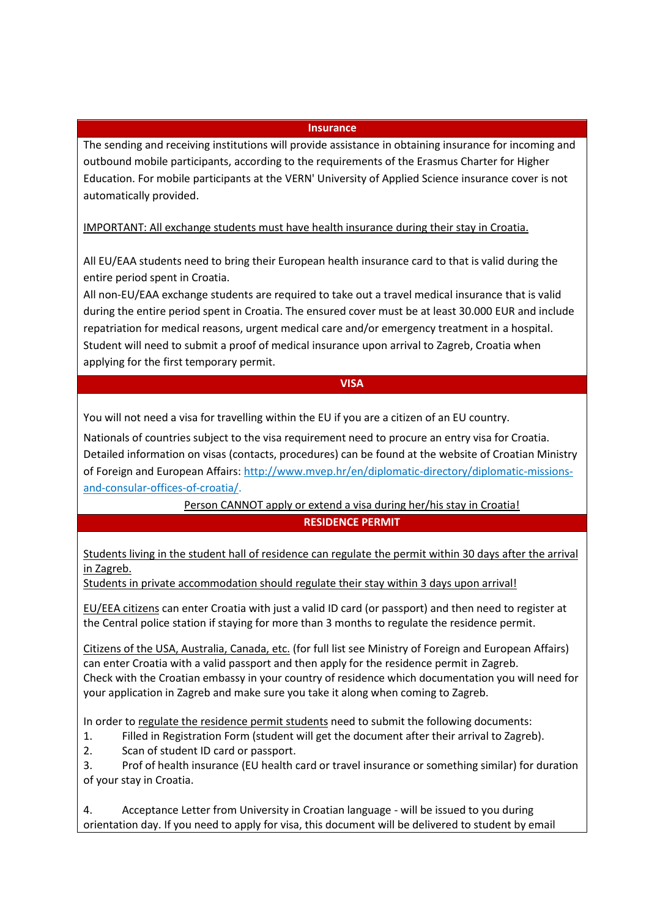#### **Insurance**

The sending and receiving institutions will provide assistance in obtaining insurance for incoming and outbound mobile participants, according to the requirements of the Erasmus Charter for Higher Education. For mobile participants at the VERN' University of Applied Science insurance cover is not automatically provided.

# IMPORTANT: All exchange students must have health insurance during their stay in Croatia.

All EU/EAA students need to bring their European health insurance card to that is valid during the entire period spent in Croatia.

All non-EU/EAA exchange students are required to take out a travel medical insurance that is valid during the entire period spent in Croatia. The ensured cover must be at least 30.000 EUR and include repatriation for medical reasons, urgent medical care and/or emergency treatment in a hospital. Student will need to submit a proof of medical insurance upon arrival to Zagreb, Croatia when applying for the first temporary permit.

## **VISA**

You will not need a visa for travelling within the EU if you are a citizen of an EU country.

Nationals of countries subject to the visa requirement need to procure an entry visa for Croatia. Detailed information on visas (contacts, procedures) can be found at the website of Croatian Ministry of Foreign and European Affairs[: http://www.mvep.hr/en/diplomatic-directory/diplomatic-missions](http://www.mvep.hr/en/diplomatic-directory/diplomatic-missions-and-consular-offices-of-croatia/)[and-consular-offices-of-croatia/.](http://www.mvep.hr/en/diplomatic-directory/diplomatic-missions-and-consular-offices-of-croatia/)

Person CANNOT apply or extend a visa during her/his stay in Croatia!

## **RESIDENCE PERMIT**

Students living in the student hall of residence can regulate the permit within 30 days after the arrival in Zagreb.

Students in private accommodation should regulate their stay within 3 days upon arrival!

EU/EEA citizens can enter Croatia with just a valid ID card (or passport) and then need to register at the Central police station if staying for more than 3 months to regulate the residence permit.

Citizens of the USA, Australia, Canada, etc. (for full list see [Ministry of Foreign and European Affairs\)](http://www.mvep.hr/en/consular-information/visas/visa-requirements-overview/) can enter Croatia with a valid passport and then apply for the residence permit in Zagreb. Check with the Croatian embassy in your country of residence which documentation you will need for your application in Zagreb and make sure you take it along when coming to Zagreb.

In order to regulate the residence permit students need to submit the following documents:

- 1. Filled in Registration Form (student will get the document after their arrival to Zagreb).
- 2. Scan of student ID card or passport.

3. Prof of health insurance (EU health card or travel insurance or something similar) for duration of your stay in Croatia.

4. Acceptance Letter from University in Croatian language - will be issued to you during orientation day. If you need to apply for visa, this document will be delivered to student by email